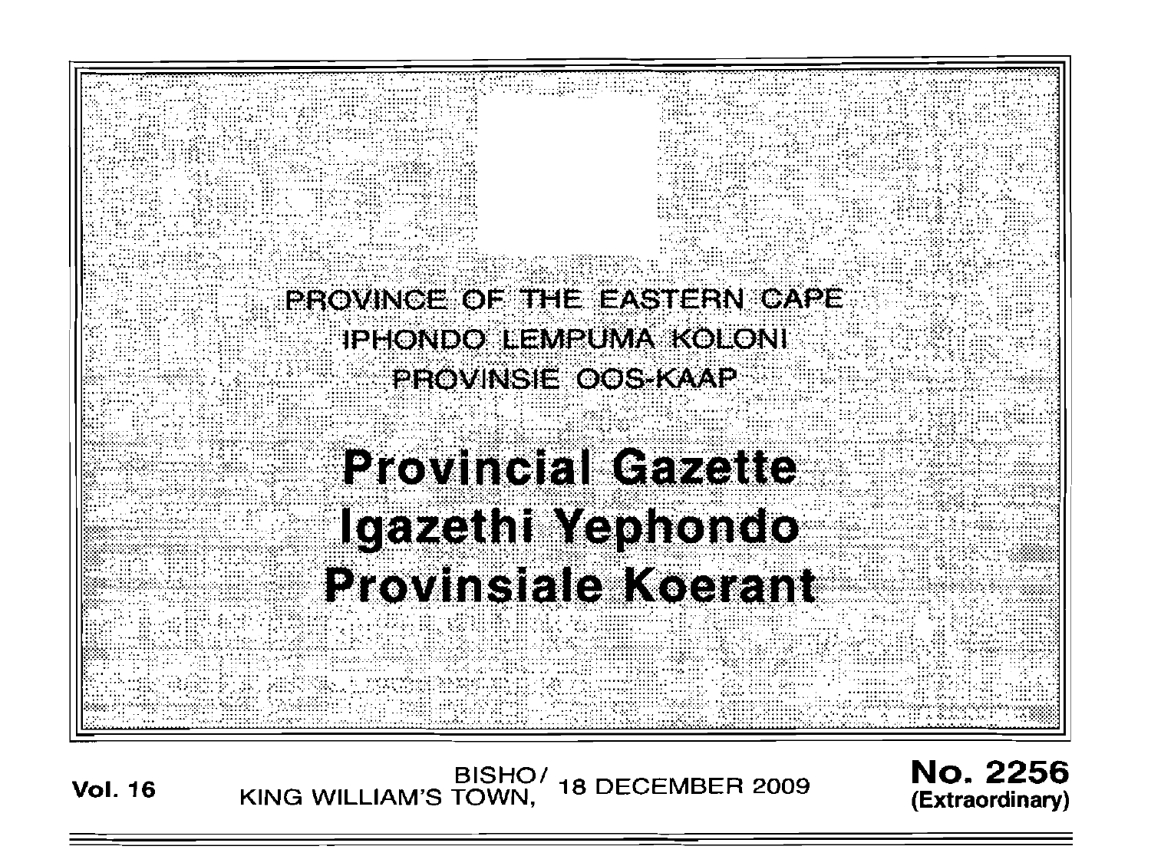

BISHO/ 18 DECEMBER 2009<br>KING WILLIAM'S TOWN, 18 DECEMBER 2009

**No. 2256** (Extraordinary)

**Vol. 16**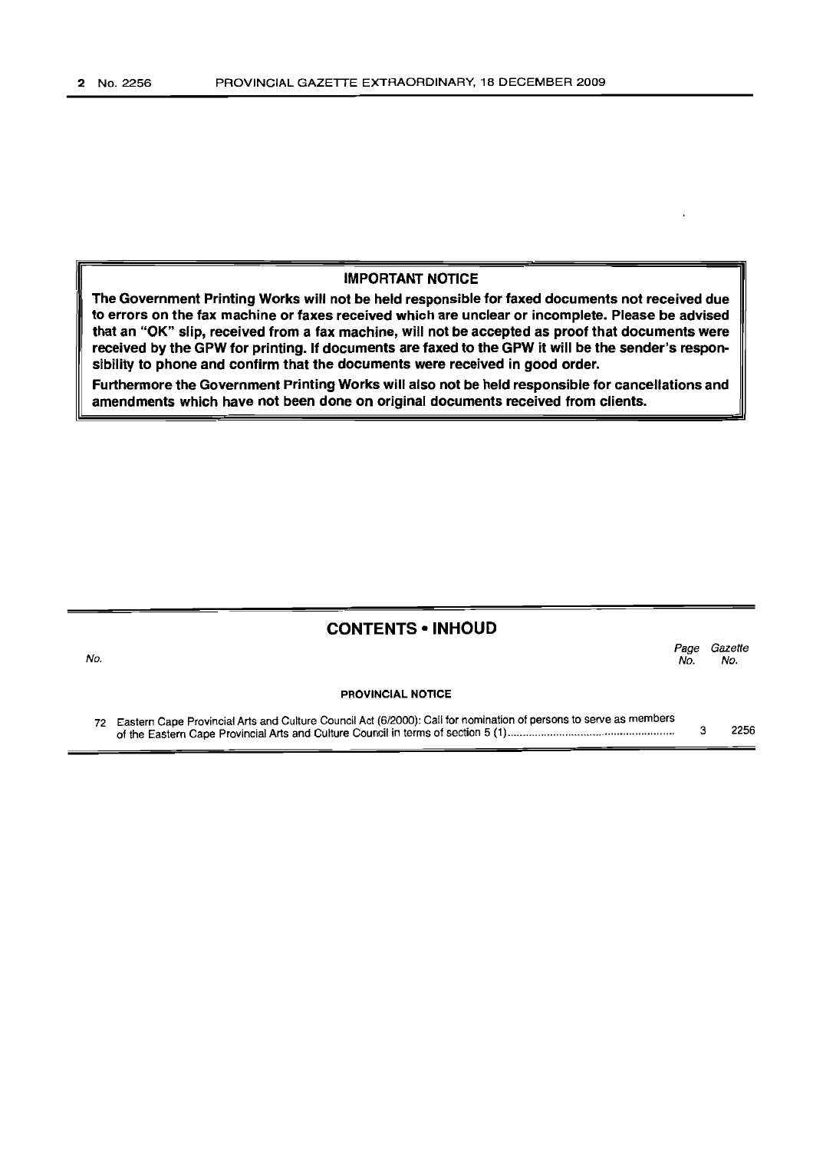No.

#### IMPORTANT NOTICE

The Government Printing Works will not be held responsible for faxed documents not received due to errors on the fax machine or faxes received which are unclear or incomplete. Please be advised that an "OK" slip, received from a fax machine, will not be accepted as proof that documents were received by the GPW for printing. If documents are faxed to the GPW it will be the sender's responsibility to phone and confirm that the documents were received in good order.

Furthermore the Government Printing Works will also not be held responsible for cancellations and amendments which have not been done on original documents received from clients.

### CONTENTS • INHOUD

|  |                          | Page<br>No. | Gazette<br>No. |
|--|--------------------------|-------------|----------------|
|  | <b>PROVINCIAL NOTICE</b> |             |                |
|  |                          |             |                |

72 Eastern Cape Provincial Arts and Culture Council Act (6/2000): Call for nomination of persons to serve as members of the Eastern Cape Provincial Arts and Culture Council in terms of section 5 (1) . 3 2256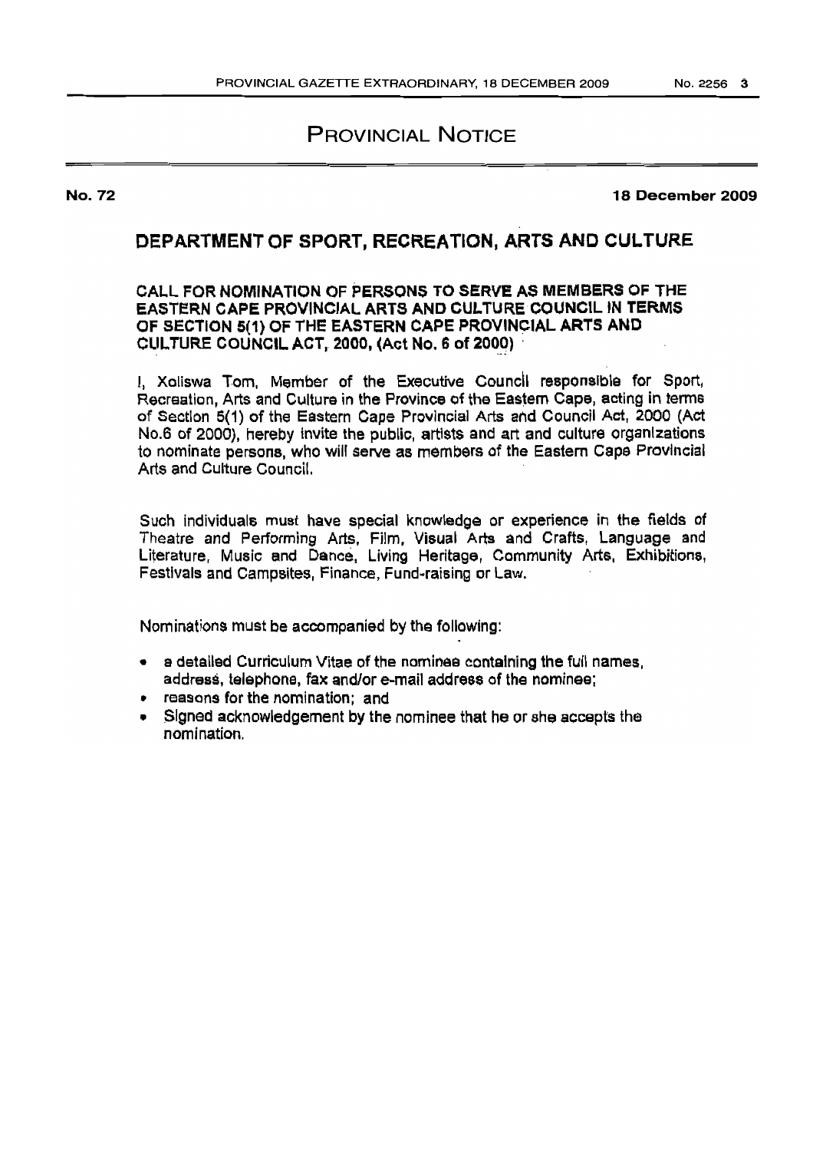# PROVINCIAL NOTICE

No. 72

18 December 2009

## DEPARTMENT OF SPORT, RECREATION, ARTS AND CULTURE

#### CALL FOR NOMINATION OF PERSONS TO SERVE AS MEMBERS OF THE EASTERN CAPE PROVINCIAL ARTS AND CULTURE COUNCIL IN TERMS OF SECTION 5(1) OF THE EASTeRN CAPE PROVINCIAL ARTS AND CULTURE COUNCIL ACT, 2000, (Act No. 6 of 2000)

I, Xoliswa Tom, Member of the Executive Council responsible for Sport, Recreation, Arts and Culture in the Province of the Eastern Cape, acting in terms of Section 5(1) of the Eastern Cape Provincial Arts and Council Act, 2000 (Act No.6 of 2000). hereby invite the public, artists and art and culture organizations to nominate persons, who will serve as members of the Eastern Cape Provincial Arts and Culture Council.

Such individuals must have special knowledge or experience in the fields of Theatre and Performing Arts. Film, Visual Arts and Crafts, Language and Literature, Music and Dance, Living Heritage, Community Arts, Exhibitions, Festivals and Campsites, Finance, Fund~raising or Law.

Nominations mustbe accompanied by the following:

- a detailed Curriculum Vitae of the nominee containing the full names, address, telephone, fax and/or e-mail address of the nominee;
- reasons for the nomination; and
- Signed acknowledgement by the nominee that he or she accepts the nomination.